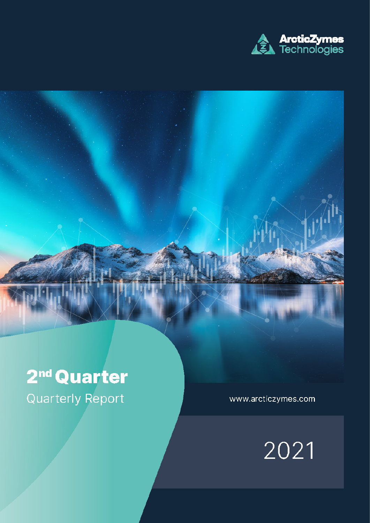

# 2<sup>nd</sup> Quarter **Quarterly Report**

www.arcticzymes.com

2021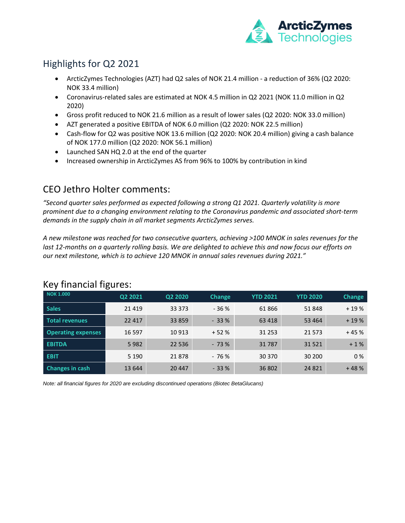

### Highlights for Q2 2021

- ArcticZymes Technologies (AZT) had Q2 sales of NOK 21.4 million a reduction of 36% (Q2 2020: NOK 33.4 million)
- Coronavirus-related sales are estimated at NOK 4.5 million in Q2 2021 (NOK 11.0 million in Q2 2020)
- Gross profit reduced to NOK 21.6 million as a result of lower sales (Q2 2020: NOK 33.0 million)
- AZT generated a positive EBITDA of NOK 6.0 million (Q2 2020: NOK 22.5 million)
- Cash-flow for Q2 was positive NOK 13.6 million (Q2 2020: NOK 20.4 million) giving a cash balance of NOK 177.0 million (Q2 2020: NOK 56.1 million)
- Launched SAN HQ 2.0 at the end of the quarter
- Increased ownership in ArcticZymes AS from 96% to 100% by contribution in kind

### CEO Jethro Holter comments:

*"Second quarter sales performed as expected following a strong Q1 2021. Quarterly volatility is more prominent due to a changing environment relating to the Coronavirus pandemic and associated short-term demands in the supply chain in all market segments ArcticZymes serves.*

*A new milestone was reached for two consecutive quarters, achieving >100 MNOK in sales revenues for the last 12-months on a quarterly rolling basis. We are delighted to achieve this and now focus our efforts on our next milestone, which is to achieve 120 MNOK in annual sales revenues during 2021."*

| <b>NOK 1.000</b>          | Q2 2021  | Q2 2020 | <b>Change</b> | <b>YTD 2021</b> | <b>YTD 2020</b> | Change |
|---------------------------|----------|---------|---------------|-----------------|-----------------|--------|
| <b>Sales</b>              | 21 4 19  | 33 373  | $-36%$        | 61866           | 51848           | $+19%$ |
| <b>Total revenues</b>     | 22 4 1 7 | 33 859  | $-33%$        | 63 4 18         | 53 4 64         | $+19%$ |
| <b>Operating expenses</b> | 16 5 97  | 10 913  | $+52%$        | 31 2 5 3        | 21 5 7 3        | $+45%$ |
| <b>EBITDA</b>             | 5982     | 22 5 36 | $-73%$        | 31787           | 31 5 21         | $+1%$  |
| <b>EBIT</b>               | 5 1 9 0  | 21878   | $-76%$        | 30 370          | 30 200          | 0%     |
| <b>Changes in cash</b>    | 13 644   | 20 447  | $-33%$        | 36 802          | 24 8 21         | $+48%$ |

### Key financial figures:

*Note: all financial figures for 2020 are excluding discontinued operations (Biotec BetaGlucans)*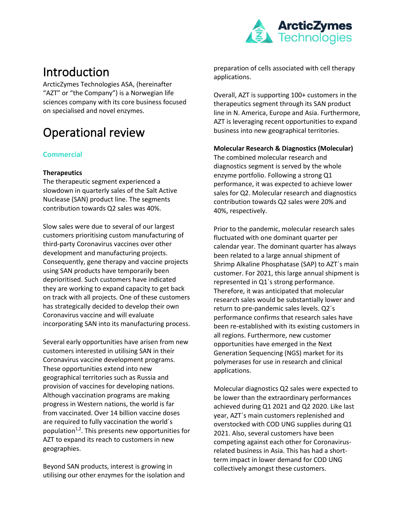

## Introduction

ArcticZymes Technologies ASA, (hereinafter "AZT" or "the Company") is a Norwegian life sciences company with its core business focused on specialised and novel enzymes.

## Operational review

#### **Commercial**

#### **Therapeutics**

The therapeutic segment experienced a slowdown in quarterly sales of the Salt Active Nuclease (SAN) product line. The segments contribution towards Q2 sales was 40%.

Slow sales were due to several of our largest customers prioritising custom manufacturing of third-party Coronavirus vaccines over other development and manufacturing projects. Consequently, gene therapy and vaccine projects using SAN products have temporarily been deprioritised. Such customers have indicated they are working to expand capacity to get back on track with all projects. One of these customers has strategically decided to develop their own Coronavirus vaccine and will evaluate incorporating SAN into its manufacturing process.

Several early opportunities have arisen from new customers interested in utilising SAN in their Coronavirus vaccine development programs. These opportunities extend into new geographical territories such as Russia and provision of vaccines for developing nations. Although vaccination programs are making progress in Western nations, the world is far from vaccinated. Over 14 billion vaccine doses are required to fully vaccination the world´s population<sup>1,2</sup>. This presents new opportunities for AZT to expand its reach to customers in new geographies.

Beyond SAN products, interest is growing in utilising our other enzymes for the isolation and preparation of cells associated with cell therapy applications.

Overall, AZT is supporting 100+ customers in the therapeutics segment through its SAN product line in N. America, Europe and Asia. Furthermore, AZT is leveraging recent opportunities to expand business into new geographical territories.

#### **Molecular Research & Diagnostics (Molecular)**

The combined molecular research and diagnostics segment is served by the whole enzyme portfolio. Following a strong Q1 performance, it was expected to achieve lower sales for Q2. Molecular research and diagnostics contribution towards Q2 sales were 20% and 40%, respectively.

Prior to the pandemic, molecular research sales fluctuated with one dominant quarter per calendar year. The dominant quarter has always been related to a large annual shipment of Shrimp Alkaline Phosphatase (SAP) to AZT´s main customer. For 2021, this large annual shipment is represented in Q1´s strong performance. Therefore, it was anticipated that molecular research sales would be substantially lower and return to pre-pandemic sales levels. Q2´s performance confirms that research sales have been re-established with its existing customers in all regions. Furthermore, new customer opportunities have emerged in the Next Generation Sequencing (NGS) market for its polymerases for use in research and clinical applications.

Molecular diagnostics Q2 sales were expected to be lower than the extraordinary performances achieved during Q1 2021 and Q2 2020. Like last year, AZT´s main customers replenished and overstocked with COD UNG supplies during Q1 2021. Also, several customers have been competing against each other for Coronavirusrelated business in Asia. This has had a shortterm impact in lower demand for COD UNG collectively amongst these customers.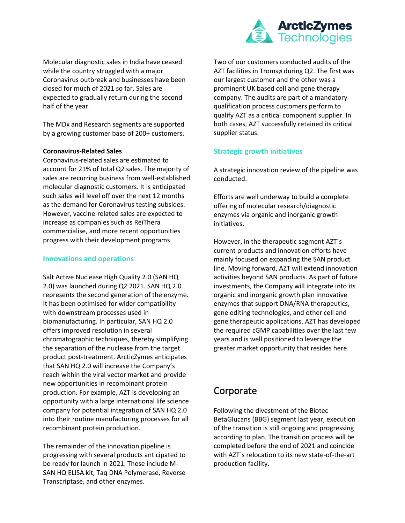

Molecular diagnostic sales in India have ceased while the country struggled with a major Coronavirus outbreak and businesses have been closed for much of 2021 so far. Sales are expected to gradually return during the second half of the year.

The MDx and Research segments are supported by a growing customer base of 200+ customers.

#### **Coronavirus-Related Sales**

Coronavirus-related sales are estimated to account for 21% of total Q2 sales. The majority of sales are recurring business from well-established molecular diagnostic customers. It is anticipated such sales will level off over the next 12 months as the demand for Coronavirus testing subsides. However, vaccine-related sales are expected to increase as companies such as ReiThera commercialise, and more recent opportunities progress with their development programs.

#### **Innovations and operations**

Salt Active Nuclease High Quality 2.0 (SAN HQ 2.0) was launched during Q2 2021. SAN HQ 2.0 represents the second generation of the enzyme. It has been optimised for wider compatibility with downstream processes used in biomanufacturing. In particular, SAN HQ 2.0 offers improved resolution in several chromatographic techniques, thereby simplifying the separation of the nuclease from the target product post-treatment. ArcticZymes anticipates that SAN HQ 2.0 will increase the Company's reach within the viral vector market and provide new opportunities in recombinant protein production. For example, AZT is developing an opportunity with a large international life science company for potential integration of SAN HQ 2.0 into their routine manufacturing processes for all recombinant protein production.

The remainder of the innovation pipeline is progressing with several products anticipated to be ready for launch in 2021. These include M-SAN HQ ELISA kit, Taq DNA Polymerase, Reverse Transcriptase, and other enzymes.

Two of our customers conducted audits of the AZT facilities in Tromsø during Q2. The first was our largest customer and the other was a prominent UK based cell and gene therapy company. The audits are part of a mandatory qualification process customers perform to qualify AZT as a critical component supplier. In both cases, AZT successfully retained its critical supplier status.

#### **Strategic growth initiatives**

A strategic innovation review of the pipeline was conducted.

Efforts are well underway to build a complete offering of molecular research/diagnostic enzymes via organic and inorganic growth initiatives.

However, in the therapeutic segment AZT´s current products and innovation efforts have mainly focused on expanding the SAN product line. Moving forward, AZT will extend innovation activities beyond SAN products. As part of future investments, the Company will integrate into its organic and inorganic growth plan innovative enzymes that support DNA/RNA therapeutics, gene editing technologies, and other cell and gene therapeutic applications. AZT has developed the required cGMP capabilities over the last few years and is well positioned to leverage the greater market opportunity that resides here.

### Corporate

Following the divestment of the Biotec BetaGlucans (BBG) segment last year, execution of the transition is still ongoing and progressing according to plan. The transition process will be completed before the end of 2021 and coincide with AZT´s relocation to its new state-of-the-art production facility.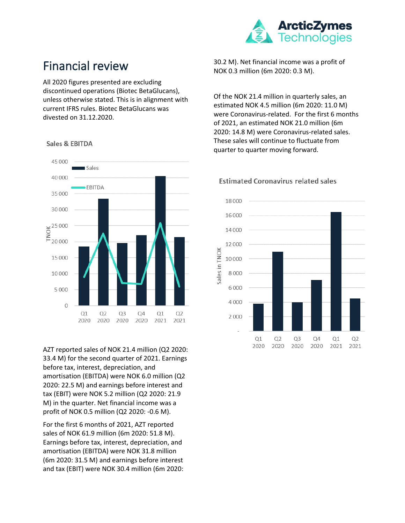

## Financial review

All 2020 figures presented are excluding discontinued operations (Biotec BetaGlucans), unless otherwise stated. This is in alignment with current IFRS rules. Biotec BetaGlucans was divested on 31.12.2020.



Sales & EBITDA

AZT reported sales of NOK 21.4 million (Q2 2020: 33.4 M) for the second quarter of 2021. Earnings before tax, interest, depreciation, and amortisation (EBITDA) were NOK 6.0 million (Q2 2020: 22.5 M) and earnings before interest and tax (EBIT) were NOK 5.2 million (Q2 2020: 21.9 M) in the quarter. Net financial income was a profit of NOK 0.5 million (Q2 2020: -0.6 M).

For the first 6 months of 2021, AZT reported sales of NOK 61.9 million (6m 2020: 51.8 M). Earnings before tax, interest, depreciation, and amortisation (EBITDA) were NOK 31.8 million (6m 2020: 31.5 M) and earnings before interest and tax (EBIT) were NOK 30.4 million (6m 2020:

30.2 M). Net financial income was a profit of NOK 0.3 million (6m 2020: 0.3 M).

Of the NOK 21.4 million in quarterly sales, an estimated NOK 4.5 million (6m 2020: 11.0 M) were Coronavirus-related. For the first 6 months of 2021, an estimated NOK 21.0 million (6m 2020: 14.8 M) were Coronavirus-related sales. These sales will continue to fluctuate from quarter to quarter moving forward.



#### **Estimated Coronavirus related sales**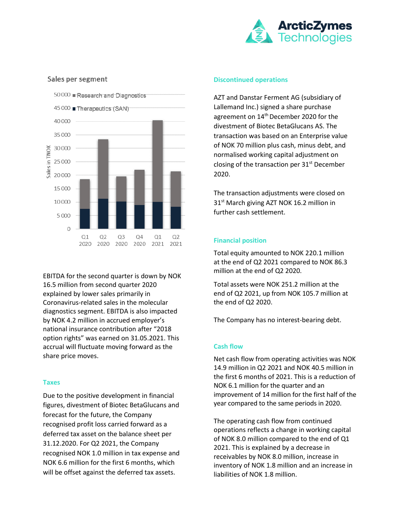

#### Sales per segment



EBITDA for the second quarter is down by NOK 16.5 million from second quarter 2020 explained by lower sales primarily in Coronavirus-related sales in the molecular diagnostics segment. EBITDA is also impacted by NOK 4.2 million in accrued employer's national insurance contribution after "2018 option rights" was earned on 31.05.2021. This accrual will fluctuate moving forward as the share price moves.

#### **Taxes**

Due to the positive development in financial figures, divestment of Biotec BetaGlucans and forecast for the future, the Company recognised profit loss carried forward as a deferred tax asset on the balance sheet per 31.12.2020. For Q2 2021, the Company recognised NOK 1.0 million in tax expense and NOK 6.6 million for the first 6 months, which will be offset against the deferred tax assets.

#### **Discontinued operations**

AZT and Danstar Ferment AG (subsidiary of Lallemand Inc.) signed a share purchase agreement on 14<sup>th</sup> December 2020 for the divestment of Biotec BetaGlucans AS. The transaction was based on an Enterprise value of NOK 70 million plus cash, minus debt, and normalised working capital adjustment on closing of the transaction per  $31<sup>st</sup>$  December 2020.

The transaction adjustments were closed on 31<sup>st</sup> March giving AZT NOK 16.2 million in further cash settlement.

#### **Financial position**

Total equity amounted to NOK 220.1 million at the end of Q2 2021 compared to NOK 86.3 million at the end of Q2 2020.

Total assets were NOK 251.2 million at the end of Q2 2021, up from NOK 105.7 million at the end of Q2 2020.

The Company has no interest-bearing debt.

#### **Cash flow**

Net cash flow from operating activities was NOK 14.9 million in Q2 2021 and NOK 40.5 million in the first 6 months of 2021. This is a reduction of NOK 6.1 million for the quarter and an improvement of 14 million for the first half of the year compared to the same periods in 2020.

The operating cash flow from continued operations reflects a change in working capital of NOK 8.0 million compared to the end of Q1 2021. This is explained by a decrease in receivables by NOK 8.0 million, increase in inventory of NOK 1.8 million and an increase in liabilities of NOK 1.8 million.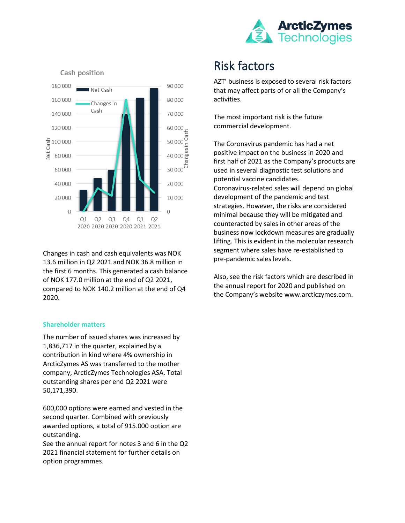



Changes in cash and cash equivalents was NOK 13.6 million in Q2 2021 and NOK 36.8 million in the first 6 months. This generated a cash balance of NOK 177.0 million at the end of Q2 2021, compared to NOK 140.2 million at the end of Q4 2020.

#### **Shareholder matters**

The number of issued shares was increased by 1,836,717 in the quarter, explained by a contribution in kind where 4% ownership in ArcticZymes AS was transferred to the mother company, ArcticZymes Technologies ASA. Total outstanding shares per end Q2 2021 were 50,171,390.

600,000 options were earned and vested in the second quarter. Combined with previously awarded options, a total of 915.000 option are outstanding.

See the annual report for notes 3 and 6 in the Q2 2021 financial statement for further details on option programmes.

## Risk factors

AZT' business is exposed to several risk factors that may affect parts of or all the Company's activities.

The most important risk is the future commercial development.

The Coronavirus pandemic has had a net positive impact on the business in 2020 and first half of 2021 as the Company's products are used in several diagnostic test solutions and potential vaccine candidates. Coronavirus-related sales will depend on global development of the pandemic and test strategies. However, the risks are considered minimal because they will be mitigated and counteracted by sales in other areas of the business now lockdown measures are gradually lifting. This is evident in the molecular research segment where sales have re-established to pre-pandemic sales levels.

Also, see the risk factors which are described in the annual report for 2020 and published on the Company's website www.arcticzymes.com.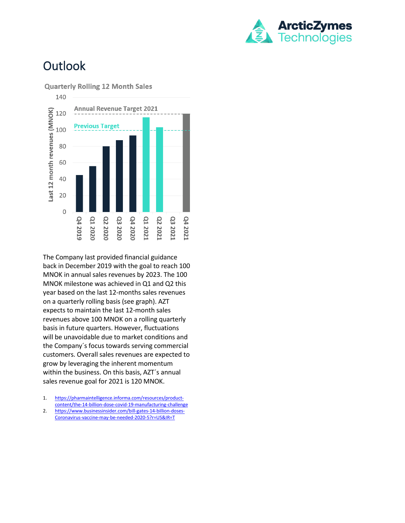

## **Outlook**





The Company last provided financial guidance back in December 2019 with the goal to reach 100 MNOK in annual sales revenues by 2023. The 100 MNOK milestone was achieved in Q1 and Q2 this year based on the last 12-months sales revenues on a quarterly rolling basis (see graph). AZT expects to maintain the last 12-month sales revenues above 100 MNOK on a rolling quarterly basis in future quarters. However, fluctuations will be unavoidable due to market conditions and the Company´s focus towards serving commercial customers. Overall sales revenues are expected to grow by leveraging the inherent momentum within the business. On this basis, AZT´s annual sales revenue goal for 2021 is 120 MNOK.

- 1. [https://pharmaintelligence.informa.com/resources/product](https://pharmaintelligence.informa.com/resources/product-content/the-14-billion-dose-covid-19-manufacturing-challenge)[content/the-14-billion-dose-covid-19-manufacturing-challenge](https://pharmaintelligence.informa.com/resources/product-content/the-14-billion-dose-covid-19-manufacturing-challenge)
- 2. [https://www.businessinsider.com/bill-gates-14-billion-doses-](https://www.businessinsider.com/bill-gates-14-billion-doses-coronavirus-vaccine-may-be-needed-2020-5?r=US&IR=T)[Coronavirus-vaccine-may-be-needed-2020-5?r=US&IR=T](https://www.businessinsider.com/bill-gates-14-billion-doses-coronavirus-vaccine-may-be-needed-2020-5?r=US&IR=T)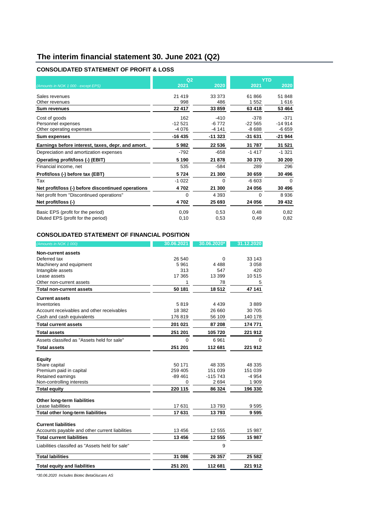### **The interim financial statement 30. June 2021 (Q2)**

#### **CONSOLIDATED STATEMENT OF PROFIT & LOSS**

|          |          |                        | <b>YTD</b>   |
|----------|----------|------------------------|--------------|
| 2021     | 2020     | 2021                   | 2020         |
| 21 4 19  | 33 373   | 61866                  | 51 848       |
| 998      | 486      | 1 552                  | 1616         |
| 22 417   | 33 859   | 63 418                 | 53 4 64      |
| 162      | $-410$   | $-378$                 | $-371$       |
| $-12521$ | $-6772$  | $-22565$               | $-14914$     |
| -4 076   | -4 141   | $-8688$                | -6 659       |
| $-16435$ | $-11323$ | $-31631$               | -21 944      |
| 5982     | 22 536   | 31 787                 | 31 521       |
| $-792$   | $-658$   | $-1417$                | $-1321$      |
| 5 1 9 0  | 21 878   | 30 370                 | 30 200       |
| 535      | $-584$   | 289                    | 296          |
| 5724     | 21 300   | 30 659                 | 30 496       |
| $-1022$  | $\Omega$ | $-6603$                | $\Omega$     |
| 4702     | 21 300   | 24 056                 | 30 496       |
| $\Omega$ | 4 3 9 3  | $\Omega$               | 8936         |
| 4702     | 25 693   | 24 056                 | 39 432       |
| 0,09     | 0.53     | 0,48                   | 0,82<br>0,82 |
|          | 0,10     | Q <sub>2</sub><br>0,53 | 0,49         |

#### **CONSOLIDATED STATEMENT OF FINANCIAL POSITION**

| (Amounts in NOK 1 000)                          | 30.06.2021 | 30.06.2020* | 31.12.2020 |
|-------------------------------------------------|------------|-------------|------------|
| Non-current assets                              |            |             |            |
| Deferred tax                                    | 26 540     | 0           | 33 143     |
| Machinery and equipment                         | 5961       | 4 4 8 8     | 3 0 5 8    |
| Intangible assets                               | 313        | 547         | 420        |
| Lease assets                                    | 17 365     | 13 399      | 10515      |
| Other non-current assets                        | 1          | 78          | 5          |
| <b>Total non-current assets</b>                 | 50 181     | 18512       | 47 141     |
| <b>Current assets</b>                           |            |             |            |
| Inventories                                     | 5819       | 4 4 3 9     | 3889       |
| Account receivables and other receivables       | 18 3 8 2   | 26 660      | 30 705     |
| Cash and cash equivalents                       | 176819     | 56 109      | 140 178    |
| <b>Total current assets</b>                     | 201 021    | 87 208      | 174 771    |
| <b>Total assets</b>                             | 251 201    | 105 720     | 221 912    |
| Assets classifed as "Assets held for sale"      | $\Omega$   | 6961        | $\Omega$   |
| <b>Total assets</b>                             | 251 201    | 112 681     | 221 912    |
|                                                 |            |             |            |
| <b>Equity</b>                                   | 50 171     | 48 335      | 48 335     |
| Share capital<br>Premium paid in capital        | 259 405    | 151 039     | 151 039    |
| Retained earnings                               | $-89461$   | $-115743$   | -4 954     |
| Non-controlling interests                       | 0          | 2694        | 1 909      |
| <b>Total equity</b>                             | 220 115    | 86 324      | 196 330    |
|                                                 |            |             |            |
| Other long-term liabilities                     |            |             |            |
| Lease liabillities                              | 17631      | 13793       | 9595       |
| Total other long-term liabilities               | 17631      | 13793       | 9595       |
|                                                 |            |             |            |
| <b>Current liabilities</b>                      | 13 456     | 12 555      | 15 987     |
| Accounts payable and other current liabilities  |            |             |            |
| <b>Total current liabilities</b>                | 13 456     | 12 555      | 15 987     |
| Liabilities classifed as "Assets held for sale" |            | 9           |            |
| <b>Total labilities</b>                         | 31 086     | 26 357      | 25 5 82    |
| <b>Total equity and liabilities</b>             | 251 201    | 112 681     | 221912     |

*\*30.06.2020 Includes Biotec BetaGlucans AS*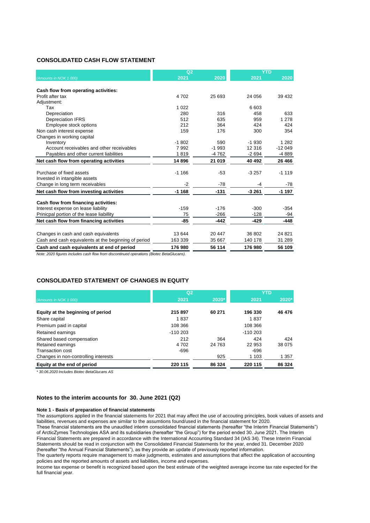#### **CONSOLIDATED CASH FLOW STATEMENT**

|                                                      | Q <sub>2</sub> |          |         | <b>YTD</b> |
|------------------------------------------------------|----------------|----------|---------|------------|
| (Amounts in NOK 1 000)                               | 2021           | 2020     | 2021    | 2020       |
|                                                      |                |          |         |            |
| Cash flow from operating activities:                 |                |          |         |            |
| Profit after tax                                     | 4702           | 25 693   | 24 056  | 39 432     |
| Adjustment:                                          |                |          |         |            |
| Tax                                                  | 1 0 2 2        |          | 6 603   |            |
| Depreciation                                         | 280            | 316      | 458     | 633        |
| <b>Depreciation IFRS</b>                             | 512            | 635      | 959     | 1 2 7 8    |
| Employee stock options                               | 212            | 364      | 424     | 424        |
| Non cash interest expense                            | 159            | 176      | 300     | 354        |
| Changes in working capital                           |                |          |         |            |
| Inventory                                            | $-1802$        | 590      | $-1930$ | 1 2 8 2    |
| Account receivables and other receivables            | 7 9 9 2        | $-1.993$ | 12 316  | $-12049$   |
| Payables and other current liabilities               | 1819           | $-4762$  | $-2694$ | $-4889$    |
| Net cash flow from operating activities              | 14896          | 21 019   | 40 492  | 26 4 66    |
| Purchase of fixed assets                             | $-1166$        | $-53$    | $-3257$ | $-1119$    |
| Invested in intangible assets                        |                |          |         |            |
| Change in long term receivables                      | $-2$           | $-78$    | -4      | $-78$      |
| Net cash flow from investing activities              | $-1168$        | $-131$   | $-3261$ | $-1197$    |
| Cash flow from financing activities:                 |                |          |         |            |
| Interest expense on lease liability                  | $-159$         | $-176$   | $-300$  | $-354$     |
| Prinicpal portion of the lease liabillity            | 75             | $-266$   | $-128$  | $-94$      |
| Net cash flow from financing activities              | -85            | $-442$   | $-429$  | $-448$     |
|                                                      |                |          |         |            |
| Changes in cash and cash equivalents                 | 13 644         | 20 447   | 36 802  | 24 8 21    |
| Cash and cash equivalents at the beginning of period | 163 339        | 35 667   | 140 178 | 31 289     |
| Cash and cash equivalents at end of period           | 176 980        | 56 114   | 176 980 | 56 109     |

*Note: 2020 figures includes cash flow from discontinued operations (Biotec BetaGlucans).*

#### **CONSOLIDATED STATEMENT OF CHANGES IN EQUITY**

|                                                | Q <sub>2</sub> |               | <b>YTD</b>    |               |
|------------------------------------------------|----------------|---------------|---------------|---------------|
| (Amounts in NOK 1 000)                         | 2021           | 2020*         | 2021          | 2020*         |
| Equity at the beginning of period              | 215 897        | 60 271        | 196 330       | 46 476        |
| Share capital                                  | 1837           |               | 1837          |               |
| Premium paid in capital                        | 108 366        |               | 108 366       |               |
| Retained earnings                              | $-110203$      |               | $-110203$     |               |
| Shared based compensation<br>Retained earnings | 212<br>4 702   | 364<br>24 763 | 424<br>22 953 | 424<br>38 075 |
| Transaction cost                               | $-696$         |               | $-696$        |               |
| Changes in non-controlling interests           |                | 925           | 1 1 0 3       | 1 3 5 7       |
| Equity at the end of period                    | 220 115        | 86 324        | 220 115       | 86 3 24       |

*\* 30.06.2020 Includes Biotec BetaGlucans AS*

#### **Notes to the interim accounts for 30. June 2021 (Q2)**

#### **Note 1 - Basis of preparation of financial statements**

The assumptions applied in the financial statements for 2021 that may affect the use of accouting principles, book values of assets and liabilities, revenues and expenses are similar to the assumtions found/used in the financial statement for 2020.

These financial statements are the unaudited interim consolidated financial statements (hereafter "the Interim Financial Statements") of ArcticZymes Technologies ASA and its subsidiaries (hereafter "the Group") for the period ended 30. June 2021. The Interim Financial Statements are prepared in accordance with the International Accounting Standard 34 (IAS 34). These Interim Financial Statements should be read in conjunction with the Consolidated Financial Statements for the year, ended 31. December 2020 (hereafter "the Annual Financial Statements"), as they provide an update of previously reported information.

The quarterly reports require management to make judgments, estimates and assumptions that affect the application of accounting policies and the reported amounts of assets and liabilities, income and expenses.

Income tax expense or benefit is recognized based upon the best estimate of the weighted average income tax rate expected for the full financial year.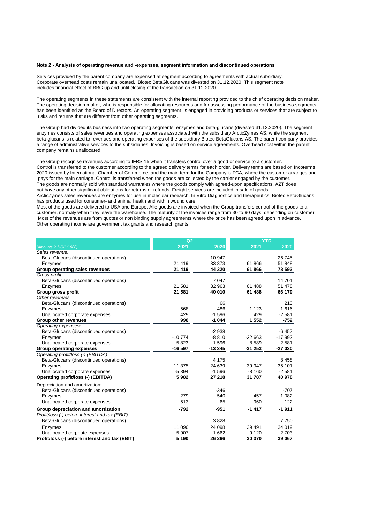#### **Note 2 - Analysis of operating revenue and -expenses, segment information and discontinued operations**

Services provided by the parent company are expensed at segment according to agreements with actual subsidiary. Corporate overhead costs remain unallocated. Biotec BetaGlucans was divested on 31.12.2020. This segment note includes financial effect of BBG up and until closing of the transaction on 31.12.2020.

The operating segments in these statements are consistent with the internal reporting provided to the chief operating decision maker. The operating decision maker, who is responsible for allocating resources and for assessing performance of the business segments, has been identified as the Board of Directors. An operating segment is engaged in providing products or services that are subject to risks and returns that are different from other operating segments.

The Group had divided its business into two operating segments; enzymes and beta-glucans (divested 31.12.2020). The segment enzymes consists of sales revenues and operating expenses associated with the subsidiary ArcticZymes AS, while the segment beta-glucans is related to revenues and operating expenses of the subsidiary Biotec BetaGlucans AS. The parent company provides a range of administrative services to the subsidiaries. Invoicing is based on service agreements. Overhead cost within the parent company remains unallocated.

The Group recognise revenues according to IFRS 15 when it transfers control over a good or service to a customer. Control is transferred to the customer according to the agreed delivery terms for each order. Delivery terms are based on Incoterms 2020 issued by International Chamber of Commerce, and the main term for the Company is FCA, where the customer arranges and pays for the main carriage. Control is transferred when the goods are collected by the carrier engaged by the customer. The goods are normally sold with standard warranties where the goods comply with agreed-upon specifications. AZT does not have any other significant obligations for returns or refunds. Freight services are included in sale of goods. ArcticZymes sales revenues are enzymes for use in molecular research, In Vitro Diagnostics and therapeutics. Biotec BetaGlucans

has products used for consumer- and animal health and within wound care.

Most of the goods are delivered to USA and Europe. Alle goods are invoiced when the Group transfers control of the goods to a customer, normaly when they leave the warehouse. The maturity of the invoices range from 30 to 90 days, depending on customer. Most of the revenues are from quotes or non binding supply agreements where the price has been agreed upon in advance. Other operating income are government tax grants and research grants.

|                                                | Q2       |          |          | <b>YTD</b> |
|------------------------------------------------|----------|----------|----------|------------|
| (Amounts in NOK 1 000)                         | 2021     | 2020     | 2021     | 2020       |
| Sales revenue:                                 |          |          |          |            |
| Beta-Glucans (discontinued operations)         |          | 10 947   |          | 26 745     |
| Enzymes                                        | 21 4 19  | 33 373   | 61866    | 51 848     |
| Group operating sales revenues                 | 21 4 19  | 44 320   | 61866    | 78 593     |
| Gross profit                                   |          |          |          |            |
| Beta-Glucans (discontinued operations)         |          | 7 0 4 7  |          | 14701      |
| Enzymes                                        | 21 581   | 32 963   | 61 488   | 51 478     |
| Group gross profit                             | 21 581   | 40 010   | 61 488   | 66 179     |
| Other revenues                                 |          |          |          |            |
| Beta-Glucans (discontinued operations)         |          | 66       |          | 213        |
| Enzymes                                        | 568      | 486      | 1 1 2 3  | 1616       |
| Unallocated corporate expenses                 | 429      | $-1596$  | 429      | $-2581$    |
| Group other revenues                           | 998      | $-1044$  | 1 5 5 2  | $-752$     |
| Operating expenses:                            |          |          |          |            |
| Beta-Glucans (discontinued operations)         |          | $-2938$  |          | $-6457$    |
| Enzymes                                        | $-10774$ | $-8810$  | $-22663$ | $-17992$   |
| Unallocated corporate expenses                 | $-5823$  | $-1596$  | $-8589$  | $-2581$    |
| <b>Group operating expenses</b>                | $-16597$ | $-13345$ | $-31253$ | -27 030    |
| Operating profit/loss (-) (EBITDA)             |          |          |          |            |
| Beta-Glucans (discontinued operations)         |          | 4 1 7 5  |          | 8458       |
| Enzymes                                        | 11 375   | 24 639   | 39 947   | 35 101     |
| Unallocated corporate expenses                 | $-5.394$ | $-1596$  | $-8,160$ | $-2.581$   |
| Operating profit/loss (-) (EBITDA)             | 5982     | 27 218   | 31 787   | 40 978     |
| Depreciation and amortization:                 |          |          |          |            |
| Beta-Glucans (discontinued operations)         |          | $-346$   |          | $-707$     |
| Enzymes                                        | $-279$   | $-540$   | $-457$   | $-1082$    |
| Unallocated corporate expenses                 | $-513$   | $-65$    | $-960$   | $-122$     |
| Group depreciation and amortization            | $-792$   | $-951$   | $-1417$  | $-1911$    |
| Profit/loss (-) before interest and tax (EBIT) |          |          |          |            |
| Beta-Glucans (discontinued operations)         |          | 3828     |          | 7750       |
| Enzymes                                        | 11 096   | 24 098   | 39 4 91  | 34 019     |
| Unallocated corpoate expenses                  | $-5907$  | $-1662$  | $-9120$  | $-2703$    |
| Profit/loss (-) before interest and tax (EBIT) | 5 1 9 0  | 26 26 6  | 30 370   | 39 067     |
|                                                |          |          |          |            |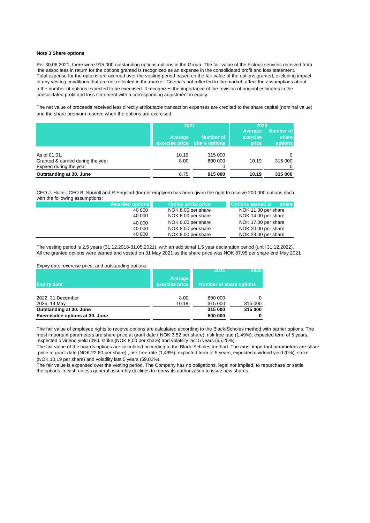#### **Note 3 Share options**

Per 30.06.2021, there were 915,000 outstanding options options in the Group. The fair value of the historic services received from the associates in return for the options granted is recognized as an expense in the consolidated profit and loss statement. Total expense for the options are accrued over the vesting period based on the fair value of the options granted, excluding impact of any vesting conditions that are not reflected in the market. Criteria's not reflected in the market, affect the assumptions about a the number of options expected to be exercised. It recognizes the importance of the revision of original estimates in the consolidated profit and loss statement with a corresponding adjustment in equity.

The net value of proceeds received less directly attributable transaction expenses are credited to the share capital (nominal value) and the share premium reserve when the options are exercised.

|                                  | 2021                      |                                   | 2020                         |                                      |
|----------------------------------|---------------------------|-----------------------------------|------------------------------|--------------------------------------|
|                                  | Average<br>exercise price | <b>Number of</b><br>share options | Average<br>exercise<br>price | Number of<br>share<br><b>options</b> |
| As of 01.01.                     | 10.19                     | 315 000                           |                              | $\Omega$                             |
| Granted & earned during the year | 8.00                      | 600 000                           | 10.19                        | 315 000                              |
| Expired during the year          |                           | 0                                 |                              |                                      |
| Outstanding at 30. June          | 8.75                      | 915 000                           | 10.19                        | 315 000                              |

CEO J. Holter, CFO B. Sørvoll and R.Engstad (former emplyee) has been given the right to receive 200 000 options each with the following assumptions:

| <b>Awarded options</b> | <b>Option strike price</b> | <b>Options earned at</b><br>share |
|------------------------|----------------------------|-----------------------------------|
| 40 000                 | NOK 8.00 per share         | NOK 11.00 per share               |
| 40 000                 | NOK 8.00 per share         | NOK 14.00 per share               |
| 40 000                 | NOK 8.00 per share         | NOK 17.00 per share               |
| 40 000                 | NOK 8.00 per share         | NOK 20.00 per share               |
| 40 000                 | NOK 8.00 per share         | NOK 23.00 per share               |

The vesting period is 2,5 years (31.12.2018-31.05.2021), with an additional 1,5 year declaration period (until 31.12.2022). All the granted options were earned and vested on 31 May 2021 as the share price was NOK 87,95 per share end May 2021

Expiry date, exercise price, and outstanding options:

|                                 |                | 2021                           | 2020    |
|---------------------------------|----------------|--------------------------------|---------|
|                                 | <b>Average</b> |                                |         |
| <b>Expiry date</b>              | exercise price | <b>Number of share options</b> |         |
|                                 |                |                                |         |
| 2022, 31 December               | 8.00           | 600 000                        | 0       |
| 2025, 14 May                    | 10.19          | 315 000                        | 315 000 |
| Outstanding at 30. June         |                | 315 000                        | 315 000 |
| Exercisable options at 30. June |                | 600 000                        | 0       |

The fair value of employee rights to receive options are calculated according to the Black-Scholes method with barrier options. The most important parameters are share price at grant date ( NOK 3,52 per share), risk free rate (1,49%), expected term of 5 years, expected dividend yield (0%), strike (NOK 8,00 per share) and volatility last 5 years (55,25%).

The fair value of the boards options are calculated according to the Black-Scholes method. The most important parameters are share price at grant date (NOK 22.80 per share) , risk free rate (1,49%), expected term of 5 years, expected dividend yield (0%), strike (NOK 10,19 per share) and volatility last 5 years (59,02%).

The fair value is expensed over the vesting period. The Company has no obligations, legal nor implied, to repurchase or settle the options in cash unless general assembly declines to renew its authorization to issue new shares.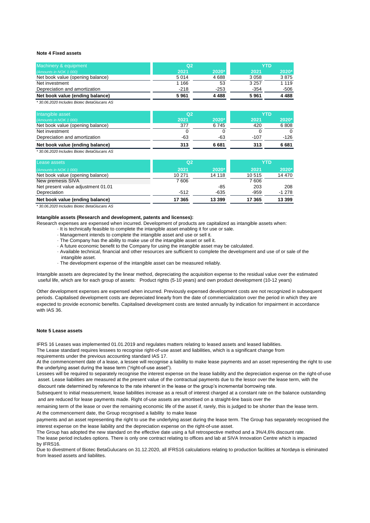#### **Note 4 Fixed assets**

| Machinery & equipment            | Q <sub>2</sub> |        | YTD     |         |
|----------------------------------|----------------|--------|---------|---------|
| (Amounts in NOK 1 000)           | 2021           | 2020*  | 2021    | 2020*   |
| Net book value (opening balance) | 5014           | 4688   | 3 0 5 8 | 3875    |
| Net investment                   | 1 1 6 6        | 53     | 3 2 5 7 | 1 1 1 9 |
| Depreciation and amortization    | $-218$         | $-253$ | $-354$  | $-506$  |
| Net book value (ending balance)  | 5961           | 4488   | 5961    | 4488    |

*\* 30.06.2020 Includes Biotec BetaGlucans AS*

| Intangible asset                 | Q <sub>2</sub> |       |        | <b>YTD</b> |
|----------------------------------|----------------|-------|--------|------------|
| (Amounts in NOK 1 000)           | 2021           | 2020* | 2021   | 2020*      |
| Net book value (opening balance) | 377            | 6745  | 420    | 6808       |
| Net investment                   |                |       |        | $\Omega$   |
| Depreciation and amortization    | -63            | -63   | $-107$ | -126       |
| Net book value (ending balance)  | 313            | 6 681 | 313    | 6681       |
|                                  |                |       |        |            |

*\* 30.06.2020 Includes Biotec BetaGlucans AS*

| Lease assets                       | Q2     |        |        | YTD     |
|------------------------------------|--------|--------|--------|---------|
| (Amounts in NOK 1 000)             | 2021   | 2020*  | 2021   | $2020*$ |
| Net book value (opening balance)   | 10 271 | 14 118 | 10515  | 14 470  |
| New premesis SIVA                  | 7606   |        | 7606   |         |
| Net present value adjustment 01.01 |        | $-85$  | 203    | 208     |
| Depreciation                       | $-512$ | $-635$ | $-959$ | $-1278$ |
| Net book value (ending balance)    | 17 365 | 13 399 | 17 365 | 13 399  |

*\* 30.06.2020 Includes Biotec BetaGlucans AS*

#### **Intangible assets (Research and development, patents and licenses):**

Research expenses are expensed when incurred. Development of products are capitalized as intangible assets when:

- · It is technically feasible to complete the intangible asset enabling it for use or sale.
- · Management intends to complete the intangible asset and use or sell it.
- · The Company has the ability to make use of the intangible asset or sell it.
- · A future economic benefit to the Company for using the intangible asset may be calculated.
- · Available technical, financial and other resources are sufficient to complete the development and use of or sale of the intangible asset.
- · The development expense of the intangible asset can be measured reliably.

Intangible assets are depreciated by the linear method, depreciating the acquisition expense to the residual value over the estimated useful life, which are for each group of assets: Product rights (5-10 years) and own product development (10-12 years)

Other development expenses are expensed when incurred. Previously expensed development costs are not recognized in subsequent periods. Capitalised development costs are depreciated linearly from the date of commercialization over the period in which they are expected to provide economic benefits. Capitalised development costs are tested annually by indication for impairment in accordance with IAS 36.

#### **Note 5 Lease assets**

IFRS 16 Leases was implemented 01.01.2019 and regulates matters relating to leased assets and leased liabilities.

The Lease standard requires lessees to recognise right-of-use asset and liabilities, which is a significant change from requirements under the previous accounting standard IAS 17.

At the commencement date of a lease, a lessee will recognise a liability to make lease payments and an asset representing the right to use the underlying asset during the lease term ("right-of-use asset").

Lessees will be required to separately recognise the interest expense on the lease liability and the depreciation expense on the right-of-use asset. Lease liabilities are measured at the present value of the contractual payments due to the lessor over the lease term, with the discount rate determined by reference to the rate inherent in the lease or the group's incremental borrowing rate.

Subsequent to initial measurement, lease liabilities increase as a result of interest charged at a constant rate on the balance outstanding

and are reduced for lease payments made. Right of-use assets are amortised on a straight-line basis over the

remaining term of the lease or over the remaining economic life of the asset if, rarely, this is judged to be shorter than the lease term. At the commencement date, the Group recognised a liability to make lease

payments and an asset representing the right to use the underlying asset during the lease term. The Group has separately recognised the interest expense on the lease liability and the depreciation expense on the right-of-use asset.

The Group has adopted the new standard on the effective date using a full retrospective method and a 3%/4,6% discount rate. The lease period includes options. There is only one contract relating to offices and lab at SIVA Innovation Centre which is impacted by IFRS16.

Due to divestment of Biotec BetaGulucans on 31.12.2020, all IFRS16 calculations relating to production facilities at Nordøya is eliminated from leased assets and liabilites.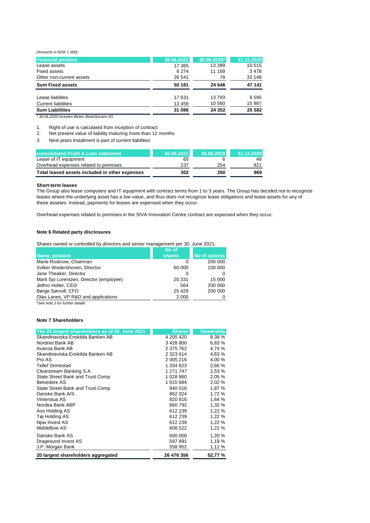*(Amounts in NOK 1 000)*

| <b>Financial position</b>  | 30.06.2021 | 30.06.2020* | 31.12.2020 |
|----------------------------|------------|-------------|------------|
| Lease assets               | 17 365     | 13 399      | 10515      |
| <b>Fixed assets</b>        | 6 2 7 4    | 11 169      | 3478       |
| Other non-current assets   | 26 541     | 78          | 33 148     |
| <b>Sum Fixed assets</b>    | 50 181     | 24 646      | 47 141     |
| Lease liabilites           | 17 631     | 13793       | 9595       |
| <b>Current liabilities</b> | 13 456     | 10 560      | 15 987     |
| <b>Sum Liabilities</b>     | 31 086     | 24 352      | 25 5 8 2   |
| $\sim$<br>- - -<br>$-1$    |            |             |            |

*\* 30.06.2020 Includes Biotec BetaGlucans AS*

1. Right of use is calculated from inception of contract

- 2. Net present value of liability maturing more than 12 months
- 3. Next years instalment is part of current liabilities

| <b>consolidated Profit &amp; Loss statement</b> | 30.06.2021 | 30.06.2020 | 31.12.2020 |
|-------------------------------------------------|------------|------------|------------|
| Lease of IT equipment                           | 65         |            | 48         |
| Overhead expenses related to premises           | 237        | 254        | 921        |
| Total leased assets included in other expenses  | 302        | 260        | 969        |

#### **Short-term leases**

The Group also lease computers and IT equipment with contract terms from 1 to 3 years. The Group has decided not to recognize leases where the underlying asset has a low value, and thus does not recognize lease obligations and lease assets for any of these assetes. Instead, payments for leases are expensed when they occur.

Overhead expenses related to premises in the SIVA Innovation Centre contract are expensed when they occur.

#### **Note 6 Related party disclosures**

| Shares owned or controlled by directors and senior management per 30. June 2021: |  |
|----------------------------------------------------------------------------------|--|
|                                                                                  |  |

|                                          | No of   |                      |
|------------------------------------------|---------|----------------------|
| Name, position                           | shares  | <b>No of options</b> |
| Marie Roskrow, Chairman                  | 0       | 200 000              |
| Volker Wedershoven, Director             | 60 000  | 100 000              |
| Jane Theaker, Director                   |         | 0                    |
| Marit Sjo Lorentzen, Director (employee) | 20 331  | 15 000               |
| Jethro Holter, CEO                       | 564     | 200 000              |
| Børge Sørvoll, CFO                       | 25 4 29 | 200 000              |
| Olav Lanes, VP R&D and applications      | 2 0 0 0 | 0                    |
|                                          |         |                      |

*\*See note 3 for further details*

#### **Note 7 Shareholders**

| The 20 largest shareholders as of 30. June 2021 | <b>Shares</b> | <b>Ownership</b> |
|-------------------------------------------------|---------------|------------------|
| Skandinaviska Enskilda Banken AB                | 4 205 4 20    | 8,38 %           |
| Nordnet Bank AB                                 | 3 428 800     | 6,83 %           |
| Avanza Bank AB                                  | 2 375 762     | 4,74 %           |
| Skandinaviska Enskilda Banken AB                | 2 3 2 3 6 1 4 | 4,63 %           |
| Pro AS                                          | 2 005 216     | 4,00 %           |
| <b>Tellef Ormestad</b>                          | 1 334 623     | 2,66 %           |
| Clearstream Banking S.A.                        | 1 271 747     | 2,53 %           |
| State Street Bank and Trust Comp                | 1 028 860     | 2,05%            |
| <b>Belvedere AS</b>                             | 1 015 684     | 2,02%            |
| State Street Bank and Trust Comp                | 940 016       | 1,87 %           |
| Danske Bank A/S                                 | 862 924       | 1,72 %           |
| Vinterstua AS                                   | 820 816       | 1,64 %           |
| Nordea Bank ABP                                 | 660792        | 1,32%            |
| Aos Holding AS                                  | 612 239       | 1,22%            |
| Tøj Holding AS                                  | 612 239       | 1,22%            |
| Npw Invest AS                                   | 612 239       | 1,22%            |
| Middelboe AS                                    | 608 522       | 1,21%            |
| Danske Bank AS                                  | 600 000       | 1,20 %           |
| Dragesund Invest AS                             | 597 891       | 1,19 %           |
| J.P: Morgan Bank                                | 558 952       | 1.11 %           |
| 20 largest shareholders aggregated              | 26 476 356    | 52,77 %          |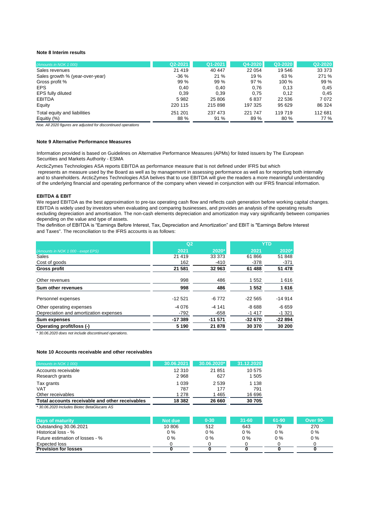#### **Note 8 Interim results**

| (Amounts in NOK 1 000)          | Q2-2021 | Q1-2021 | Q4-2020 | Q3-2020 | Q2-2020 |
|---------------------------------|---------|---------|---------|---------|---------|
| Sales revenues                  | 21 4 19 | 40 447  | 22 054  | 19 546  | 33 373  |
| Sales growth % (year-over-year) | $-36%$  | 21%     | 19 %    | 63 %    | 271 %   |
| Gross profit %                  | 99 %    | 99 %    | 97%     | 100 %   | 99%     |
| <b>EPS</b>                      | 0.40    | 0.40    | 0,76    | 0.13    | 0,45    |
| EPS fully diluted               | 0,39    | 0.39    | 0.75    | 0,12    | 0.45    |
| <b>EBITDA</b>                   | 5982    | 25 806  | 6837    | 22 536  | 7072    |
| Equity                          | 220 115 | 215 898 | 197 325 | 95 629  | 86 324  |
| Total equity and liabilities    | 251 201 | 237 473 | 221 747 | 119719  | 112 681 |
| Equitiy (%)                     | 88 %    | 91%     | 89%     | 80%     | 77 %    |

*Noe. All 2020 figures are adjusted for discontinued operations*

#### **Note 9 Alternative Performance Measures**

Information provided is based on Guidelines on Alternative Performance Measures (APMs) for listed issuers by The European Securities and Markets Authority - ESMA

ArcticZymes Technologies ASA reports EBITDA as performance measure that is not defined under IFRS but which represents an measure used by the Board as well as by management in assessing performance as well as for reporting both internally and to shareholders. ArcticZymes Technologies ASA belives that to use EBITDA will give the readers a more meaningful understanding of the underlying financial and operating performance of the company when viewed in conjunction with our IFRS financial information.

#### **EBITDA & EBIT**

We regard EBITDA as the best approximation to pre-tax operating cash flow and reflects cash generation before working capital changes. EBITDA is widely used by investors when evaluating and comparing businesses, and provides an analysis of the operating results excluding depreciation and amortisation. The non-cash elements depreciation and amortization may vary significantly between companies depending on the value and type of assets.

The definition of EBITDA is "Earnings Before Interest, Tax, Depreciation and Amortization" and EBIT is "Earnings Before Interest and Taxes". The reconciliation to the IFRS accounts is as follows:

|                                        | Q <sub>2</sub> |          | <b>YTD</b> |          |  |
|----------------------------------------|----------------|----------|------------|----------|--|
| (Amounts in NOK 1 000 - exept EPS)     | 2021           | 2020*    | 2021       | 2020*    |  |
| Sales                                  | 21 419         | 33 373   | 61866      | 51 848   |  |
| Cost of goods                          | 162            | $-410$   | $-378$     | $-371$   |  |
| <b>Gross profit</b>                    | 21 581         | 32 963   | 61 488     | 51 478   |  |
| Other revenues                         | 998            | 486      | 1552       | 1616     |  |
| Sum other revenues                     | 998            | 486      | 1 5 5 2    | 1616     |  |
| Personnel expenses                     | $-12521$       | $-6772$  | $-22565$   | $-14914$ |  |
| Other operating expenses               | $-4076$        | $-4141$  | $-8688$    | $-6659$  |  |
| Depreciation and amortization expenses | $-792$         | $-658$   | $-1417$    | $-1321$  |  |
| Sum expenses                           | $-17389$       | $-11571$ | $-32670$   | $-22894$ |  |
| Operating profit/loss (-)              | 5 1 9 0        | 21 878   | 30 370     | 30 200   |  |

*\* 30.06.2020 does not include discontinued operations.*

#### **Note 10 Accounts receivable and other receivables**

| (Amounts in NOK 1 000)                          | 30.06.2021 | 30.06.2020* | 31.12.2020 |
|-------------------------------------------------|------------|-------------|------------|
| Accounts receivable                             | 12 310     | 21 851      | 10 575     |
| Research grants                                 | 2968       | 627         | 1 505      |
| Tax grants                                      | 1 0 3 9    | 2 5 3 9     | 1 1 3 8    |
| <b>VAT</b>                                      | 787        | 177         | 791        |
| Other receivables                               | 1 2 7 8    | 1465        | 16 696     |
| Total accounts receivable and other receivables | 18 382     | 26 660      | 30705      |

*\* 30.06.2020 Includes Biotec BetaGlucans AS*

| <b>Davs of maturity</b>         | Not due | $0 - 30$ | $31 - 60$ | 61-90 | <b>Over 90-</b> |
|---------------------------------|---------|----------|-----------|-------|-----------------|
| Outstanding 30.06.2021          | 10 806  | 512      | 643       | 79    | 270             |
| Historical loss - %             | $0\%$   | 0 %      | $0\%$     | $0\%$ | $0\%$           |
| Future estimation of losses - % | $0\%$   | 0 %      | $0\%$     | $0\%$ | $0\%$           |
| Expected loss                   |         |          |           |       |                 |
| <b>Provision for losses</b>     |         |          |           |       |                 |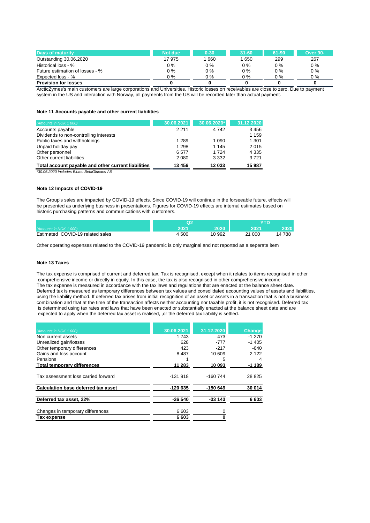| <b>Days of maturity</b>         | Not due | $0 - 30$ | $31 - 60$ | $61 - 90$ | <b>Over 90-</b> |
|---------------------------------|---------|----------|-----------|-----------|-----------------|
| Outstanding 30.06.2020          | 17975   | 660      | 1650      | 299       | 267             |
| Historical loss - %             | 0 %     | 0 %      | $0\%$     | $0\%$     | $0\%$           |
| Future estimation of losses - % | 0 %     | $0\%$    | $0\%$     | $0\%$     | $0\%$           |
| Expected loss - %               | 0 %     | 0 %      | $0\%$     | 0 %       | $0\%$           |
| <b>Provision for losses</b>     |         |          |           |           |                 |

ArcticZymes's main customers are large corporations and Universities. Historic losses on receivables are close to zero. Due to payment system in the US and interaction with Norway, all payments from the US will be recorded later than actual payment.

#### **Note 11 Accounts payable and other current liabilities**

| 30.06.2021 | 30.06.2020* | 31.12.2020 |
|------------|-------------|------------|
| 2 2 1 1    | 4 7 4 2     | 3456       |
|            |             | 1 1 5 9    |
| 1 2 8 9    | 1 0 9 0     | 1 301      |
| 1 2 9 8    | 1 1 4 5     | 2015       |
| 6577       | 1 7 2 4     | 4 3 3 5    |
| 2 0 8 0    | 3 3 3 2     | 3721       |
| 13 456     | 12 033      | 15 987     |
|            |             |            |

*\*30.06.2020 Includes Biotec BetaGlucans AS*

#### **Note 12 Impacts of COVID-19**

The Group's sales are impacted by COVID-19 effects. Since COVID-19 will continue in the forseeable future, effects will be presented as underlying business in presentations. Figures for COVID-19 effects are internal estimates based on historic purchasing patterns and communications with customers.

| (Amounts in NOK 1 000)           |     | วกวก   |             | 20201  |
|----------------------------------|-----|--------|-------------|--------|
| Estimated COVID-19 related sales | 500 | 10 992 | ົາ 4<br>000 | 14 788 |

Other operating expenses related to the COVID-19 pandemic is only marginal and not reported as a seperate item

#### **Note 13 Taxes**

The tax expense is comprised of current and deferred tax. Tax is recognised, except when it relates to items recognised in other comprehensive income or directly in equity. In this case, the tax is also recognised in other comprehensive income. The tax expense is measured in accordance with the tax laws and regulations that are enacted at the balance sheet date. Deferred tax is measured as temporary differences between tax values and consolidated accounting values of assets and liabilities, using the liability method. If deferred tax arises from initial recognition of an asset or assets in a transaction that is not a business combination and that at the time of the transaction affects neither accounting nor taxable profit, it is not recognised. Deferred tax is determined using tax rates and laws that have been enacted or substantially enacted at the balance sheet date and are expected to apply when the deferred tax asset is realised, ,or the deferred tax liability is settled.

| (Amounts in NOK 1 000)                     | 30.06.2021 | 31.12.2020 | Change  |
|--------------------------------------------|------------|------------|---------|
| Non current assets                         | 1 743      | 473        | $-1270$ |
| Unrealized gain/losses                     | 628        | -777       | $-1405$ |
| Other temporary differences                | 423        | $-217$     | $-640$  |
| Gains and loss account                     | 8487       | 10 609     | 2 1 2 2 |
| Pensions                                   |            | 5          | 4       |
| <b>Total temporary differences</b>         | 11 283     | 10 093     | $-1189$ |
| Tax assessment loss carried forward        | $-131.918$ | $-160744$  | 28 825  |
| <b>Calculation base deferred tax asset</b> | $-120635$  | $-150649$  | 30 014  |
| Deferred tax asset, 22%                    | $-26540$   | $-33143$   | 6603    |
| Changes in temporary differences           | 6 603      | 0          |         |
| Tax expense                                | 6603       |            |         |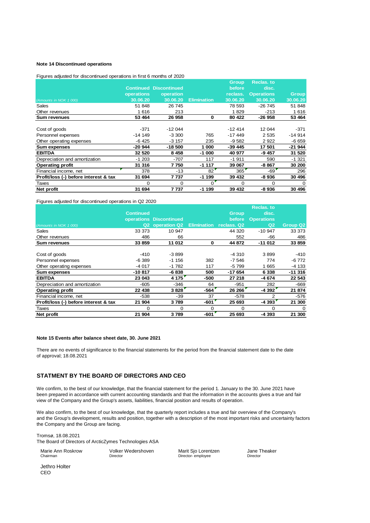#### **Note 14 Discontinued operations**

Figures adjusted for discontinued operations in first 6 months of 2020

|                                       |                   |                               |                    | Group    | Reclas. to        |              |
|---------------------------------------|-------------------|-------------------------------|--------------------|----------|-------------------|--------------|
|                                       |                   | <b>Continued Discontinued</b> |                    | before   | disc.             |              |
|                                       | <b>operations</b> | operation                     |                    | reclass. | <b>Operations</b> | <b>Group</b> |
| (Amounts in NOK 1 000)                | 30.06.20          | 30.06.20                      | <b>Elimination</b> | 30.06.20 | 30.06.20          | 30.06.20     |
| Sales                                 | 51 848            | 26 745                        |                    | 78 593   | -26 745           | 51 848       |
| Other revenues                        | 1616              | 213                           |                    | 1829     | $-213$            | 1616         |
| <b>Sum revenues</b>                   | 53 464            | 26 958                        | 0                  | 80 422   | $-26958$          | 53 4 64      |
|                                       |                   |                               |                    |          |                   |              |
| Cost of goods                         | $-371$            | $-12044$                      |                    | $-12414$ | 12 044            | $-371$       |
| Personnel expenses                    | $-14149$          | $-3300$                       | 765                | $-17449$ | 2 5 3 5           | $-14914$     |
| Other operating expenses              | -6 425            | $-3157$                       | 235                | -9 582   | 2922              | $-6659$      |
| Sum expenses                          | $-20944$          | $-18500$                      | 1 000              | -39 445  | 17 501            | $-21944$     |
| <b>EBITDA</b>                         | 32 5 20           | 8 4 5 8                       | $-1000$            | 40 977   | -9 457            | 31 520       |
| Depreciation and amortization         | $-1203$           | $-707$                        | 117                | $-1911$  | 590               | $-1.321$     |
| <b>Operating profit</b>               | 31 316            | 7750                          | $-1117$            | 39 067   | $-8867$           | 30 200       |
| Financial income, net                 | 378               | -13                           | 82                 | 365      | $-69$             | 296          |
| Profit/loss (-) before interest & tax | 31 694            | 7737                          | $-1199$            | 39 432   | -8 936            | 30 496       |
| Taxes                                 | $\Omega$          | $\Omega$                      | O                  | 0        | 0                 | $\Omega$     |
| Net profit                            | 31 694            | 7737                          | $-1199$            | 39 432   | -8 936            | 30 496       |

Figures adjusted for discontinued operations in Q2 2020

|                                       |                  |                         |        |                         | <b>Reclas. to</b> |          |
|---------------------------------------|------------------|-------------------------|--------|-------------------------|-------------------|----------|
|                                       | <b>Continued</b> |                         |        | <b>Group</b>            | disc.             |          |
|                                       |                  | operations Discontinued |        | <b>before</b>           | <b>Operations</b> |          |
| (Amounts in NOK 1 000)                |                  | Q2 operation Q2         |        | Elimination reclass. Q2 | Q2                | Group Q2 |
| Sales                                 | 33 373           | 10 947                  |        | 44 320                  | $-10947$          | 33 373   |
| Other revenues                        | 486              | 66                      |        | 552                     | -66               | 486      |
| <b>Sum revenues</b>                   | 33 859           | 11 012                  | 0      | 44 872                  | $-11012$          | 33 859   |
|                                       |                  |                         |        |                         |                   |          |
| Cost of goods                         | $-410$           | $-3899$                 |        | $-4310$                 | 3899              | $-410$   |
| Personnel expenses                    | $-6389$          | $-1156$                 | 382    | $-7546$                 | 774               | -6 772   |
| Other operating expenses              | $-4017$          | $-1782$                 | 117    | -5 799                  | 1665              | $-4133$  |
| Sum expenses                          | $-10817$         | $-6838$                 | 500    | -17 654                 | 6 3 3 8           | $-11316$ |
| <b>EBITDA</b>                         | 23 043           | 4 175                   | -500   | 27 218                  | -4 674            | 22 543   |
| Depreciation and amortization         | $-605$           | $-346$                  | 64     | $-951$                  | 282               | -669     |
| <b>Operating profit</b>               | 22 438           | 3828                    | $-564$ | 26 26 6                 | $-4.392$          | 21 874   |
| Financial income, net                 | -538             | $-39$                   | 37     | $-578$                  | 2                 | $-576$   |
| Profit/loss (-) before interest & tax | 21 904           | 3789                    | $-601$ | 25 693                  | $-4.393$          | 21 300   |
| Taxes                                 | $\Omega$         | 0                       | 0      | $\Omega$                | $\Omega$          | 0        |
| Net profit                            | 21 904           | 3789                    | $-601$ | 25 693                  | -4 393            | 21 300   |

#### **Note 15 Events after balance sheet date, 30. June 2021**

There are no events of significance to the financial statements for the period from the financial statement date to the date of approval; 18.08.2021

#### **STATMENT BY THE BOARD OF DIRECTORS AND CEO**

We confirm, to the best of our knowledge, that the financial statement for the period 1. January to the 30. June 2021 have been prepared in accordance with current accounting standards and that the information in the accounts gives a true and fair view of the Company and the Group's assets, liabilities, financial position and results of operation.

We also confirm, to the best of our knowledge, that the quarterly report includes a true and fair overview of the Company's and the Group's development, results and position, together with a description of the most important risks and uncertainty factors the Company and the Group are facing.

Tromsø, 18.08.2021 The Board of Directors of ArcticZymes Technologies ASA

Marie Ann Roskrow Volker Wedershoven Marit Sjo Lorentzen Jane Theaker<br>Chairman Director Director Director Director Director Director- employee

Jethro Holter CEO